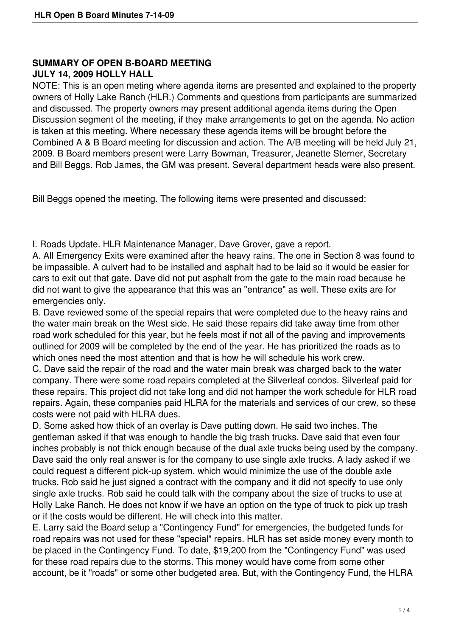## **SUMMARY OF OPEN B-BOARD MEETING**

## **JULY 14, 2009 HOLLY HALL**

NOTE: This is an open meting where agenda items are presented and explained to the property owners of Holly Lake Ranch (HLR.) Comments and questions from participants are summarized and discussed. The property owners may present additional agenda items during the Open Discussion segment of the meeting, if they make arrangements to get on the agenda. No action is taken at this meeting. Where necessary these agenda items will be brought before the Combined A & B Board meeting for discussion and action. The A/B meeting will be held July 21, 2009. B Board members present were Larry Bowman, Treasurer, Jeanette Sterner, Secretary and Bill Beggs. Rob James, the GM was present. Several department heads were also present.

Bill Beggs opened the meeting. The following items were presented and discussed:

I. Roads Update. HLR Maintenance Manager, Dave Grover, gave a report.

A. All Emergency Exits were examined after the heavy rains. The one in Section 8 was found to be impassible. A culvert had to be installed and asphalt had to be laid so it would be easier for cars to exit out that gate. Dave did not put asphalt from the gate to the main road because he did not want to give the appearance that this was an "entrance" as well. These exits are for emergencies only.

B. Dave reviewed some of the special repairs that were completed due to the heavy rains and the water main break on the West side. He said these repairs did take away time from other road work scheduled for this year, but he feels most if not all of the paving and improvements outlined for 2009 will be completed by the end of the year. He has prioritized the roads as to which ones need the most attention and that is how he will schedule his work crew.

C. Dave said the repair of the road and the water main break was charged back to the water company. There were some road repairs completed at the Silverleaf condos. Silverleaf paid for these repairs. This project did not take long and did not hamper the work schedule for HLR road repairs. Again, these companies paid HLRA for the materials and services of our crew, so these costs were not paid with HLRA dues.

D. Some asked how thick of an overlay is Dave putting down. He said two inches. The gentleman asked if that was enough to handle the big trash trucks. Dave said that even four inches probably is not thick enough because of the dual axle trucks being used by the company. Dave said the only real answer is for the company to use single axle trucks. A lady asked if we could request a different pick-up system, which would minimize the use of the double axle trucks. Rob said he just signed a contract with the company and it did not specify to use only single axle trucks. Rob said he could talk with the company about the size of trucks to use at Holly Lake Ranch. He does not know if we have an option on the type of truck to pick up trash or if the costs would be different. He will check into this matter.

E. Larry said the Board setup a "Contingency Fund" for emergencies, the budgeted funds for road repairs was not used for these "special" repairs. HLR has set aside money every month to be placed in the Contingency Fund. To date, \$19,200 from the "Contingency Fund" was used for these road repairs due to the storms. This money would have come from some other account, be it "roads" or some other budgeted area. But, with the Contingency Fund, the HLRA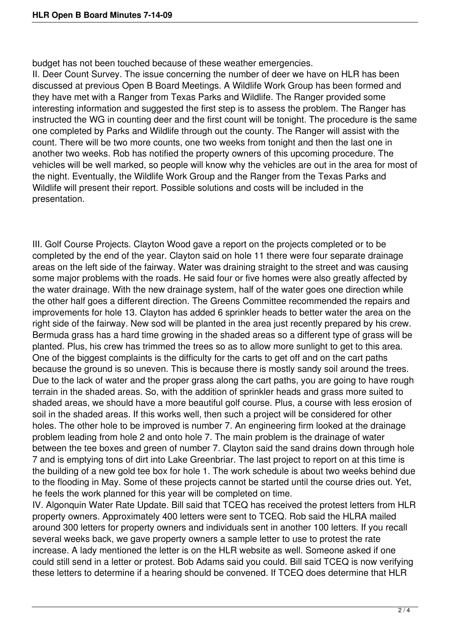budget has not been touched because of these weather emergencies.

II. Deer Count Survey. The issue concerning the number of deer we have on HLR has been discussed at previous Open B Board Meetings. A Wildlife Work Group has been formed and they have met with a Ranger from Texas Parks and Wildlife. The Ranger provided some interesting information and suggested the first step is to assess the problem. The Ranger has instructed the WG in counting deer and the first count will be tonight. The procedure is the same one completed by Parks and Wildlife through out the county. The Ranger will assist with the count. There will be two more counts, one two weeks from tonight and then the last one in another two weeks. Rob has notified the property owners of this upcoming procedure. The vehicles will be well marked, so people will know why the vehicles are out in the area for most of the night. Eventually, the Wildlife Work Group and the Ranger from the Texas Parks and Wildlife will present their report. Possible solutions and costs will be included in the presentation.

III. Golf Course Projects. Clayton Wood gave a report on the projects completed or to be completed by the end of the year. Clayton said on hole 11 there were four separate drainage areas on the left side of the fairway. Water was draining straight to the street and was causing some major problems with the roads. He said four or five homes were also greatly affected by the water drainage. With the new drainage system, half of the water goes one direction while the other half goes a different direction. The Greens Committee recommended the repairs and improvements for hole 13. Clayton has added 6 sprinkler heads to better water the area on the right side of the fairway. New sod will be planted in the area just recently prepared by his crew. Bermuda grass has a hard time growing in the shaded areas so a different type of grass will be planted. Plus, his crew has trimmed the trees so as to allow more sunlight to get to this area. One of the biggest complaints is the difficulty for the carts to get off and on the cart paths because the ground is so uneven. This is because there is mostly sandy soil around the trees. Due to the lack of water and the proper grass along the cart paths, you are going to have rough terrain in the shaded areas. So, with the addition of sprinkler heads and grass more suited to shaded areas, we should have a more beautiful golf course. Plus, a course with less erosion of soil in the shaded areas. If this works well, then such a project will be considered for other holes. The other hole to be improved is number 7. An engineering firm looked at the drainage problem leading from hole 2 and onto hole 7. The main problem is the drainage of water between the tee boxes and green of number 7. Clayton said the sand drains down through hole 7 and is emptying tons of dirt into Lake Greenbriar. The last project to report on at this time is the building of a new gold tee box for hole 1. The work schedule is about two weeks behind due to the flooding in May. Some of these projects cannot be started until the course dries out. Yet, he feels the work planned for this year will be completed on time.

IV. Algonquin Water Rate Update. Bill said that TCEQ has received the protest letters from HLR property owners. Approximately 400 letters were sent to TCEQ. Rob said the HLRA mailed around 300 letters for property owners and individuals sent in another 100 letters. If you recall several weeks back, we gave property owners a sample letter to use to protest the rate increase. A lady mentioned the letter is on the HLR website as well. Someone asked if one could still send in a letter or protest. Bob Adams said you could. Bill said TCEQ is now verifying these letters to determine if a hearing should be convened. If TCEQ does determine that HLR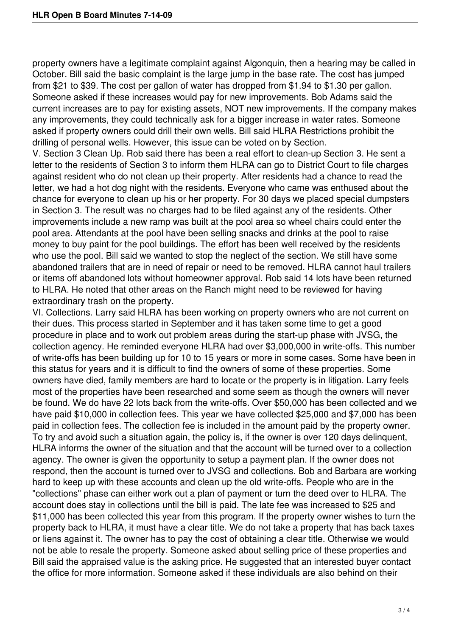property owners have a legitimate complaint against Algonquin, then a hearing may be called in October. Bill said the basic complaint is the large jump in the base rate. The cost has jumped from \$21 to \$39. The cost per gallon of water has dropped from \$1.94 to \$1.30 per gallon. Someone asked if these increases would pay for new improvements. Bob Adams said the current increases are to pay for existing assets, NOT new improvements. If the company makes any improvements, they could technically ask for a bigger increase in water rates. Someone asked if property owners could drill their own wells. Bill said HLRA Restrictions prohibit the drilling of personal wells. However, this issue can be voted on by Section.

V. Section 3 Clean Up. Rob said there has been a real effort to clean-up Section 3. He sent a letter to the residents of Section 3 to inform them HLRA can go to District Court to file charges against resident who do not clean up their property. After residents had a chance to read the letter, we had a hot dog night with the residents. Everyone who came was enthused about the chance for everyone to clean up his or her property. For 30 days we placed special dumpsters in Section 3. The result was no charges had to be filed against any of the residents. Other improvements include a new ramp was built at the pool area so wheel chairs could enter the pool area. Attendants at the pool have been selling snacks and drinks at the pool to raise money to buy paint for the pool buildings. The effort has been well received by the residents who use the pool. Bill said we wanted to stop the neglect of the section. We still have some abandoned trailers that are in need of repair or need to be removed. HLRA cannot haul trailers or items off abandoned lots without homeowner approval. Rob said 14 lots have been returned to HLRA. He noted that other areas on the Ranch might need to be reviewed for having extraordinary trash on the property.

VI. Collections. Larry said HLRA has been working on property owners who are not current on their dues. This process started in September and it has taken some time to get a good procedure in place and to work out problem areas during the start-up phase with JVSG, the collection agency. He reminded everyone HLRA had over \$3,000,000 in write-offs. This number of write-offs has been building up for 10 to 15 years or more in some cases. Some have been in this status for years and it is difficult to find the owners of some of these properties. Some owners have died, family members are hard to locate or the property is in litigation. Larry feels most of the properties have been researched and some seem as though the owners will never be found. We do have 22 lots back from the write-offs. Over \$50,000 has been collected and we have paid \$10,000 in collection fees. This year we have collected \$25,000 and \$7,000 has been paid in collection fees. The collection fee is included in the amount paid by the property owner. To try and avoid such a situation again, the policy is, if the owner is over 120 days delinquent, HLRA informs the owner of the situation and that the account will be turned over to a collection agency. The owner is given the opportunity to setup a payment plan. If the owner does not respond, then the account is turned over to JVSG and collections. Bob and Barbara are working hard to keep up with these accounts and clean up the old write-offs. People who are in the "collections" phase can either work out a plan of payment or turn the deed over to HLRA. The account does stay in collections until the bill is paid. The late fee was increased to \$25 and \$11,000 has been collected this year from this program. If the property owner wishes to turn the property back to HLRA, it must have a clear title. We do not take a property that has back taxes or liens against it. The owner has to pay the cost of obtaining a clear title. Otherwise we would not be able to resale the property. Someone asked about selling price of these properties and Bill said the appraised value is the asking price. He suggested that an interested buyer contact the office for more information. Someone asked if these individuals are also behind on their